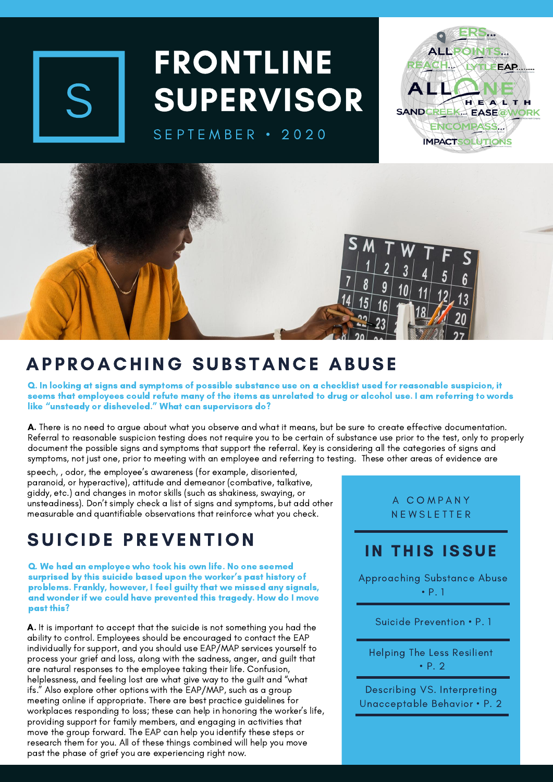

# FRONTLINE **SUPERVISOR**

SEPTEMBER · 2020





## APPROACHING SUBSTANCE ABUSE

Q. In looking at signs and symptoms of possible substance use on a checklist used for reasonable suspicion, it seems that employees could refute many of the items as unrelated to drug or alcohol use. I am referring to words like "unsteady or disheveled." What can supervisors do?

A. There is no need to argue about what you observe and what it means, but be sure to create effective documentation. Referral to reasonable suspicion testing does not require you to be certain of substance use prior to the test, only to properly document the possible signs and symptoms that support the referral. Key is considering all the categories of signs and symptoms, not just one, prior to meeting with an employee and referring to testing. These other areas of evidence are

speech, , odor, the employee's awareness (for example, disoriented, paranoid, or hyperactive), attitude and demeanor (combative, talkative, giddy, etc.) and changes in motor skills (such as shakiness, swaying, or unsteadiness). Don't simply check a list of signs and symptoms, but add other measurable and quantifiable observations that reinforce what you check.

## SUICIDE PREVENTION

Q. We had an employee who took his own life. No one seemed surprised by this suicide based upon the worker's past history of problems. Frankly, however, I feel guilty that we missed any signals, and wonder if we could have prevented this tragedy. How do I move past this?

A. It is important to accept that the suicide is not something you had the ability to control. Employees should be encouraged to contact the EAP individually for support, and you should use EAP/MAP services yourself to process your grief and loss, along with the sadness, anger, and guilt that are natural responses to the employee taking their life. Confusion, helplessness, and feeling lost are what give way to the guilt and "what ifs." Also explore other options with the EAP/MAP, such as a group meeting online if appropriate. There are best practice guidelines for workplaces responding to loss; these can help in honoring the worker's life, providing support for family members, and engaging in activities that move the group forward. The EAP can help you identify these steps or research them for you. All of these things combined will help you move past the phase of grief you are experiencing right now.

A C O M P A N Y N E W S L E T T E R

### IN THIS ISSUE

Approaching Substance Abuse • P. 1

Suicide Prevention • P. 1

Helping The Less Resilient • P. 2

Describing VS. Interpreting Unacceptable Behavior • P. 2